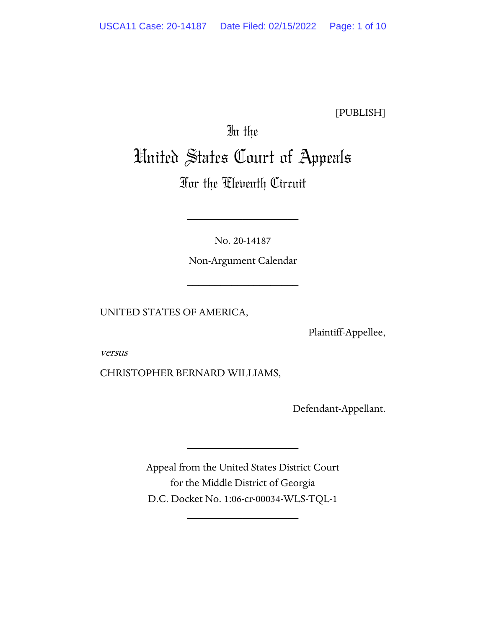[PUBLISH]

# In the United States Court of Appeals

# For the Eleventh Circuit

No. 20-14187

\_\_\_\_\_\_\_\_\_\_\_\_\_\_\_\_\_\_\_\_

Non-Argument Calendar

\_\_\_\_\_\_\_\_\_\_\_\_\_\_\_\_\_\_\_\_

UNITED STATES OF AMERICA,

Plaintiff-Appellee,

versus

CHRISTOPHER BERNARD WILLIAMS,

Defendant-Appellant.

Appeal from the United States District Court for the Middle District of Georgia D.C. Docket No. 1:06-cr-00034-WLS-TQL-1

\_\_\_\_\_\_\_\_\_\_\_\_\_\_\_\_\_\_\_\_

\_\_\_\_\_\_\_\_\_\_\_\_\_\_\_\_\_\_\_\_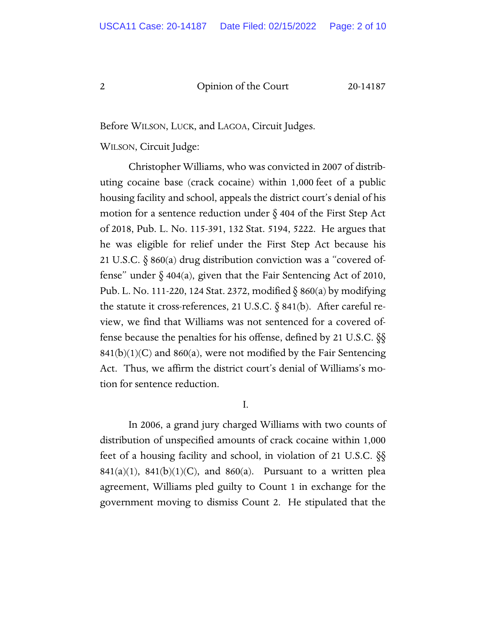Before WILSON, LUCK, and LAGOA, Circuit Judges.

WILSON, Circuit Judge:

Christopher Williams, who was convicted in 2007 of distributing cocaine base (crack cocaine) within 1,000 feet of a public housing facility and school, appeals the district court's denial of his motion for a sentence reduction under  $\S$  404 of the First Step Act of 2018, Pub. L. No. 115-391, 132 Stat. 5194, 5222. He argues that he was eligible for relief under the First Step Act because his 21 U.S.C. § 860(a) drug distribution conviction was a "covered offense" under  $\delta$  404(a), given that the Fair Sentencing Act of 2010, Pub. L. No. 111-220, 124 Stat. 2372, modified § 860(a) by modifying the statute it cross-references, 21 U.S.C.  $\S$  841(b). After careful review, we find that Williams was not sentenced for a covered offense because the penalties for his offense, defined by 21 U.S.C. §§  $841(b)(1)(C)$  and  $860(a)$ , were not modified by the Fair Sentencing Act. Thus, we affirm the district court's denial of Williams's motion for sentence reduction.

I.

In 2006, a grand jury charged Williams with two counts of distribution of unspecified amounts of crack cocaine within 1,000 feet of a housing facility and school, in violation of 21 U.S.C. §§  $841(a)(1)$ ,  $841(b)(1)(C)$ , and  $860(a)$ . Pursuant to a written plea agreement, Williams pled guilty to Count 1 in exchange for the government moving to dismiss Count 2. He stipulated that the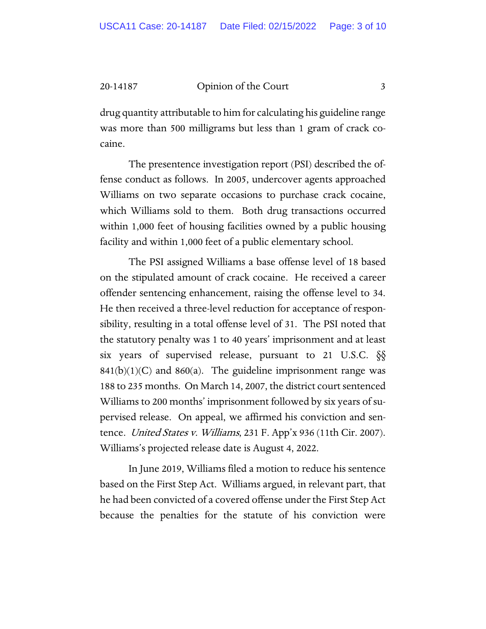drug quantity attributable to him for calculating his guideline range was more than 500 milligrams but less than 1 gram of crack cocaine.

The presentence investigation report (PSI) described the offense conduct as follows. In 2005, undercover agents approached Williams on two separate occasions to purchase crack cocaine, which Williams sold to them. Both drug transactions occurred within 1,000 feet of housing facilities owned by a public housing facility and within 1,000 feet of a public elementary school.

The PSI assigned Williams a base offense level of 18 based on the stipulated amount of crack cocaine. He received a career offender sentencing enhancement, raising the offense level to 34. He then received a three-level reduction for acceptance of responsibility, resulting in a total offense level of 31. The PSI noted that the statutory penalty was 1 to 40 years' imprisonment and at least six years of supervised release, pursuant to 21 U.S.C. §§  $841(b)(1)(C)$  and  $860(a)$ . The guideline imprisonment range was 188 to 235 months. On March 14, 2007, the district court sentenced Williams to 200 months' imprisonment followed by six years of supervised release. On appeal, we affirmed his conviction and sentence. United States v. Williams, 231 F. App'x 936 (11th Cir. 2007). Williams's projected release date is August 4, 2022.

In June 2019, Williams filed a motion to reduce his sentence based on the First Step Act. Williams argued, in relevant part, that he had been convicted of a covered offense under the First Step Act because the penalties for the statute of his conviction were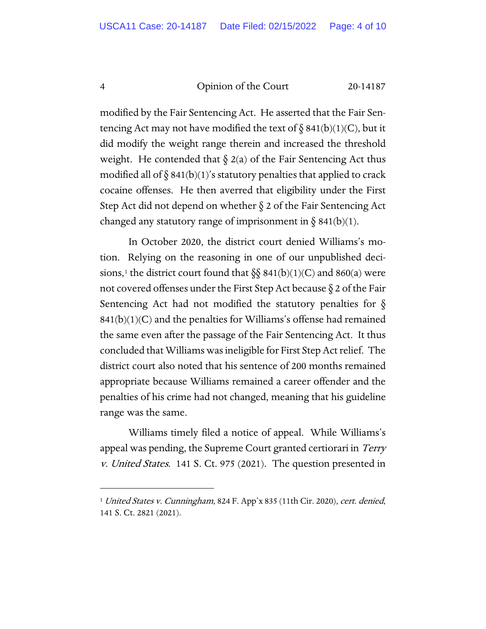modified by the Fair Sentencing Act. He asserted that the Fair Sentencing Act may not have modified the text of  $\S 841(b)(1)(C)$ , but it did modify the weight range therein and increased the threshold weight. He contended that  $\S$  2(a) of the Fair Sentencing Act thus modified all of  $\S 841(b)(1)$ 's statutory penalties that applied to crack cocaine offenses. He then averred that eligibility under the First Step Act did not depend on whether § 2 of the Fair Sentencing Act changed any statutory range of imprisonment in  $\S$  841(b)(1).

In October 2020, the district court denied Williams's motion. Relying on the reasoning in one of our unpublished deci-sions,<sup>[1](#page-3-0)</sup> the district court found that  $\S$ § 841(b)(1)(C) and 860(a) were not covered offenses under the First Step Act because  $\S 2$  of the Fair Sentencing Act had not modified the statutory penalties for  $\S$  $841(b)(1)(C)$  and the penalties for Williams's offense had remained the same even after the passage of the Fair Sentencing Act. It thus concluded that Williams was ineligible for First Step Act relief. The district court also noted that his sentence of 200 months remained appropriate because Williams remained a career offender and the penalties of his crime had not changed, meaning that his guideline range was the same.

Williams timely filed a notice of appeal. While Williams's appeal was pending, the Supreme Court granted certiorari in *Terry* v. United States. 141 S. Ct. 975 (2021). The question presented in

<span id="page-3-0"></span><sup>&</sup>lt;sup>1</sup> United States v. Cunningham, 824 F. App'x 835 (11th Cir. 2020), cert. denied, 141 S. Ct. 2821 (2021).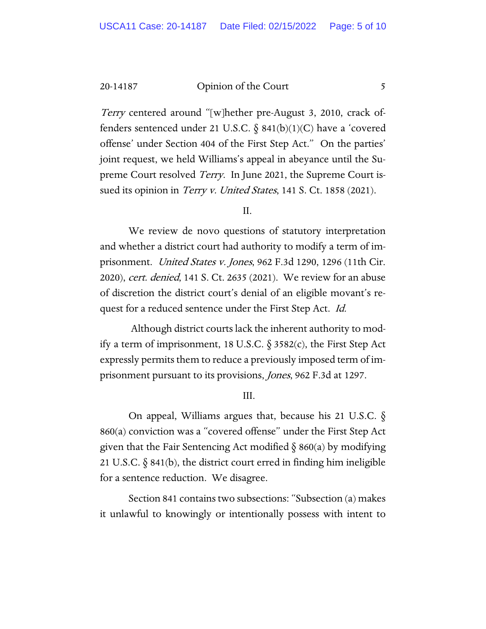*Terry* centered around "[w]hether pre-August 3, 2010, crack offenders sentenced under 21 U.S.C.  $\S$  841(b)(1)(C) have a 'covered offense' under Section 404 of the First Step Act." On the parties' joint request, we held Williams's appeal in abeyance until the Supreme Court resolved *Terry*. In June 2021, the Supreme Court issued its opinion in *Terry v. United States*, 141 S. Ct. 1858 (2021).

II.

We review de novo questions of statutory interpretation and whether a district court had authority to modify a term of imprisonment. United States v. Jones, 962 F.3d 1290, 1296 (11th Cir. 2020), *cert. denied*, 141 S. Ct. 2635 (2021). We review for an abuse of discretion the district court's denial of an eligible movant's request for a reduced sentence under the First Step Act. Id.

Although district courts lack the inherent authority to modify a term of imprisonment, 18 U.S.C.  $\S$  3582(c), the First Step Act expressly permits them to reduce a previously imposed term of imprisonment pursuant to its provisions, Jones, 962 F.3d at 1297.

III.

On appeal, Williams argues that, because his 21 U.S.C. § 860(a) conviction was a "covered offense" under the First Step Act given that the Fair Sentencing Act modified  $\S$  860(a) by modifying 21 U.S.C. § 841(b), the district court erred in finding him ineligible for a sentence reduction. We disagree.

Section 841 contains two subsections: "Subsection (a) makes it unlawful to knowingly or intentionally possess with intent to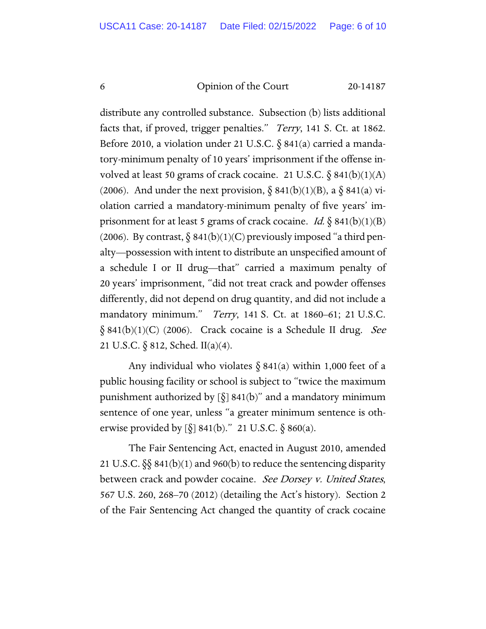distribute any controlled substance. Subsection (b) lists additional facts that, if proved, trigger penalties." *Terry*, 141 S. Ct. at 1862. Before 2010, a violation under 21 U.S.C. § 841(a) carried a mandatory-minimum penalty of 10 years' imprisonment if the offense involved at least 50 grams of crack cocaine. 21 U.S.C.  $\delta$  841(b)(1)(A) (2006). And under the next provision,  $\S 841(b)(1)(B)$ , a  $\S 841(a)$  violation carried a mandatory-minimum penalty of five years' imprisonment for at least 5 grams of crack cocaine. *Id.*  $\S$  841(b)(1)(B) (2006). By contrast,  $\S 841(b)(1)(C)$  previously imposed "a third penalty—possession with intent to distribute an unspecified amount of a schedule I or II drug—that" carried a maximum penalty of 20 years' imprisonment, "did not treat crack and powder offenses differently, did not depend on drug quantity, and did not include a mandatory minimum." Terry, 141 S. Ct. at 1860–61; 21 U.S.C.  $\S$  841(b)(1)(C) (2006). Crack cocaine is a Schedule II drug. See 21 U.S.C. § 812, Sched. II(a)(4).

Any individual who violates  $\S$  841(a) within 1,000 feet of a public housing facility or school is subject to "twice the maximum punishment authorized by  $\lbrack \S \rbrack$  841(b)" and a mandatory minimum sentence of one year, unless "a greater minimum sentence is otherwise provided by  $[\S] 841(b)$ ." 21 U.S.C.  $\S 860(a)$ .

The Fair Sentencing Act, enacted in August 2010, amended 21 U.S.C.  $\S$  841(b)(1) and 960(b) to reduce the sentencing disparity between crack and powder cocaine. See Dorsey v. United States, 567 U.S. 260, 268–70 (2012) (detailing the Act's history). Section 2 of the Fair Sentencing Act changed the quantity of crack cocaine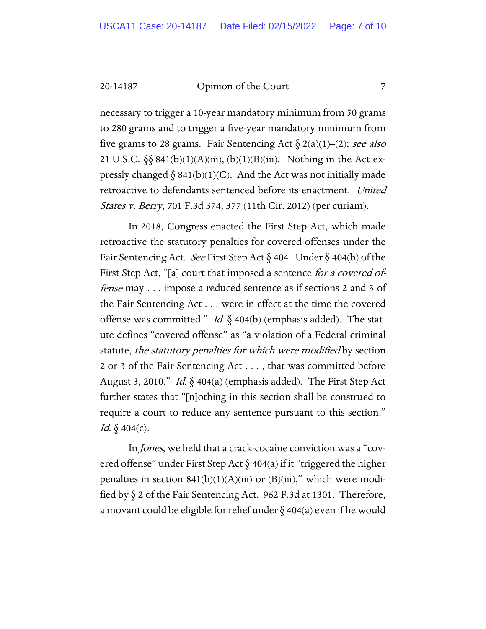necessary to trigger a 10-year mandatory minimum from 50 grams to 280 grams and to trigger a five-year mandatory minimum from five grams to 28 grams. Fair Sentencing Act  $\delta$  2(a)(1)–(2); see also 21 U.S.C.  $\S_{\text{S}}$  841(b)(1)(A)(iii), (b)(1)(B)(iii). Nothing in the Act expressly changed  $\S 841(b)(1)(C)$ . And the Act was not initially made retroactive to defendants sentenced before its enactment. United States v. Berry, 701 F.3d 374, 377 (11th Cir. 2012) (per curiam).

In 2018, Congress enacted the First Step Act, which made retroactive the statutory penalties for covered offenses under the Fair Sentencing Act. See First Step Act  $\S$  404. Under  $\S$  404(b) of the First Step Act, "[a] court that imposed a sentence for a covered offense may . . . impose a reduced sentence as if sections 2 and 3 of the Fair Sentencing Act . . . were in effect at the time the covered offense was committed." Id.  $\S$  404(b) (emphasis added). The statute defines "covered offense" as "a violation of a Federal criminal statute, the statutory penalties for which were modified by section 2 or 3 of the Fair Sentencing Act . . . , that was committed before August 3, 2010." Id.  $\S$  404(a) (emphasis added). The First Step Act further states that "[n]othing in this section shall be construed to require a court to reduce any sentence pursuant to this section." Id.  $\delta$  404(c).

In Jones, we held that a crack-cocaine conviction was a "covered offense" under First Step Act  $\S$  404(a) if it "triggered the higher penalties in section  $841(b)(1)(A)(iii)$  or  $(B)(iii)$ ," which were modified by § 2 of the Fair Sentencing Act. 962 F.3d at 1301. Therefore, a movant could be eligible for relief under  $\S$  404(a) even if he would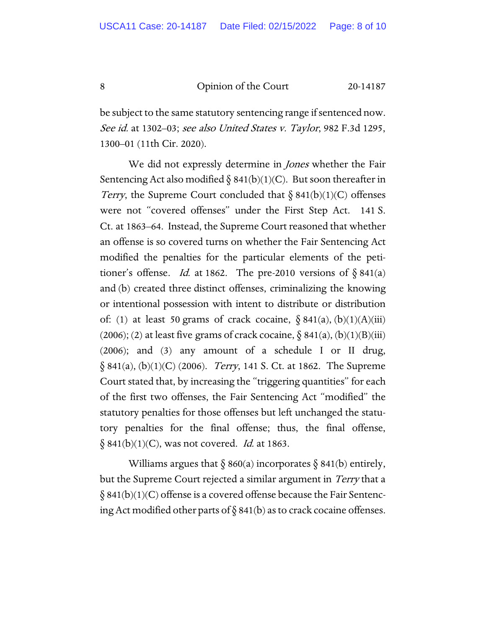be subject to the same statutory sentencing range if sentenced now. See id. at 1302–03; see also United States v. Taylor, 982 F.3d 1295, 1300–01 (11th Cir. 2020).

We did not expressly determine in *Jones* whether the Fair Sentencing Act also modified  $\S 841(b)(1)(C)$ . But soon thereafter in Terry, the Supreme Court concluded that  $\S 841(b)(1)(C)$  offenses were not "covered offenses" under the First Step Act. 141 S. Ct. at 1863–64. Instead, the Supreme Court reasoned that whether an offense is so covered turns on whether the Fair Sentencing Act modified the penalties for the particular elements of the petitioner's offense. Id. at 1862. The pre-2010 versions of  $\S 841(a)$ and (b) created three distinct offenses, criminalizing the knowing or intentional possession with intent to distribute or distribution of: (1) at least 50 grams of crack cocaine,  $\S 841(a)$ ,  $(b)(1)(A)(iii)$ (2006); (2) at least five grams of crack cocaine,  $\S$  841(a), (b)(1)(B)(iii) (2006); and (3) any amount of a schedule I or II drug,  $\S 841(a), (b)(1)(C) (2006)$ . *Terry*, 141 S. Ct. at 1862. The Supreme Court stated that, by increasing the "triggering quantities" for each of the first two offenses, the Fair Sentencing Act "modified" the statutory penalties for those offenses but left unchanged the statutory penalties for the final offense; thus, the final offense,  $\S 841(b)(1)(C)$ , was not covered. *Id.* at 1863.

Williams argues that  $\S 860(a)$  incorporates  $\S 841(b)$  entirely, but the Supreme Court rejected a similar argument in *Terry* that a  $\S$  841(b)(1)(C) offense is a covered offense because the Fair Sentencing Act modified other parts of  $\S 841(b)$  as to crack cocaine offenses.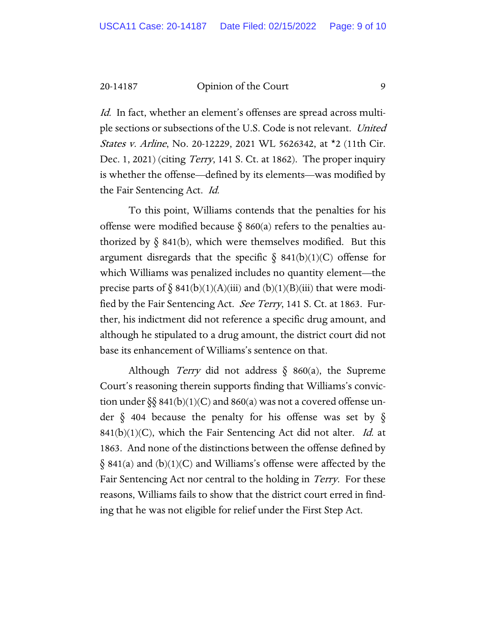Id. In fact, whether an element's offenses are spread across multiple sections or subsections of the U.S. Code is not relevant. United States v. Arline, No. 20-12229, 2021 WL 5626342, at \*2 (11th Cir. Dec. 1, 2021) (citing *Terry*, 141 S. Ct. at 1862). The proper inquiry is whether the offense—defined by its elements—was modified by the Fair Sentencing Act. Id.

To this point, Williams contends that the penalties for his offense were modified because  $\S$  860(a) refers to the penalties authorized by  $\delta$  841(b), which were themselves modified. But this argument disregards that the specific  $\S$  841(b)(1)(C) offense for which Williams was penalized includes no quantity element—the precise parts of  $\S$  841(b)(1)(A)(iii) and (b)(1)(B)(iii) that were modified by the Fair Sentencing Act. *See Terry*, 141 S. Ct. at 1863. Further, his indictment did not reference a specific drug amount, and although he stipulated to a drug amount, the district court did not base its enhancement of Williams's sentence on that.

Although *Terry* did not address  $\S$  860(a), the Supreme Court's reasoning therein supports finding that Williams's conviction under  $\S\$  841(b)(1)(C) and 860(a) was not a covered offense under  $\S$  404 because the penalty for his offense was set by  $\S$  $841(b)(1)(C)$ , which the Fair Sentencing Act did not alter. *Id.* at 1863. And none of the distinctions between the offense defined by  $\S$  841(a) and (b)(1)(C) and Williams's offense were affected by the Fair Sentencing Act nor central to the holding in Terry. For these reasons, Williams fails to show that the district court erred in finding that he was not eligible for relief under the First Step Act.